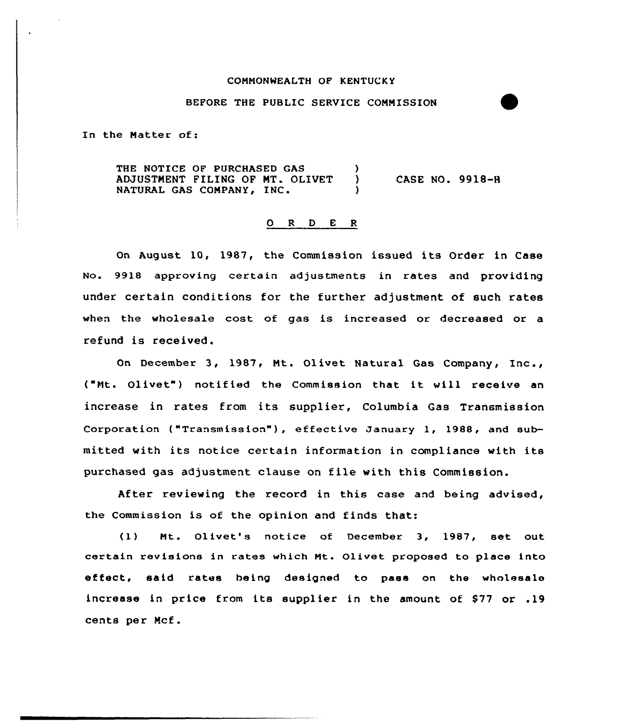#### CONNONWEALTH OF KENTUCKY

#### BEFORE THE PUBLIC SERVICE CONNISSION

In the Natter of:

THE NOTICE OF PURCHASED GAS (3)<br>ADJUSTMENT FILING OF MT, OLIVET (3) ADJUSTNENT FILING OF NT. OLIVET ) NATURAL GAS CONPANYi IN' CASE NO. 99la-H

### 0 <sup>R</sup> <sup>D</sup> <sup>E</sup> <sup>R</sup>

On August 10, 1987, the Commission issued its Order in Case No. 9918 approving certain adjustments in rates and providing under certain conditions for the further adjustment of such rates when the wholesale cost of gas is increased or decreased or a refund is received.

On December 3, 1987, Nt. Olivet Natural Gas Company, Inc., ("Mt. Olivet") notified the Commission that it will receive an increase in rates from its supplier, Columbia Gas Transmission Corporation ("Transmission" ), effective January 1, 1988, and submitted with its notice certain information in compliance with its purchased gas adjustment clause on file with this Commission.

After reviewing the record in this case and being advised, the Commission is of the opinion and finds that:

(1) Nt. Olivet's notice of December 3, 1987, set out certain revisions in rates which Mt. Olivet proposed to place into effect, said rates being designed to pass on the wholesale increase in price from its supplier in the amount of \$77 or .19 cents per Ncf.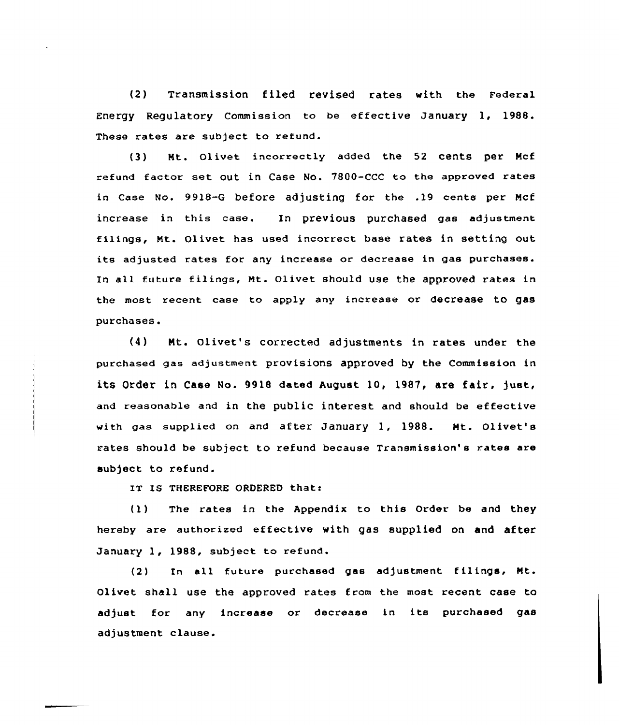(2) Transmission filed revised rates with the Federal Energy Regulatory Commission to be effective January 1, 1988. These rates are subject to refund.

(3) Mt. Olivet incorrectly added the 52 cents per Mcf refund factor set out in Case No. 7800-CCC to the approved rates in Case No. 99)8-6 before adjusting for the .19 cents per Mcf increase in this case. In previous purchased gas adjustment filings, Nt. Olivet has used incoxrect base rates in setting out its adjusted rates for any increase or decrease in gas purchases. In all future filings, Mt. Olivet should use the approved xates in the most recent case to apply any increase or decrease to gas purchases.

(4) Nt. Olivet's corrected adjustments in rates under the purchased gas adjustment provisions approved by the Commission in its Order in Case No. 9918 dated August 10, 1987, are fair, just, and reasonable and in the public interest and should be effective with gas supplied on and after January 1, 1988. Mt. Olivet's rates should be subject to refund because Txansmission's rates are subject to refund.

IT IS THEREFORE ORDERED that:

(1) The rates in the Appendix to this Order be and they hereby are authorised effective with gas supplied on and after January 1, 1988, subject to refund.

(2) In all future purchased gas adjustment filings, Mt. Olivet shall use the approved rates from the most recent case to adjust for any incxease or decrease in its purchased gas adjustment clause.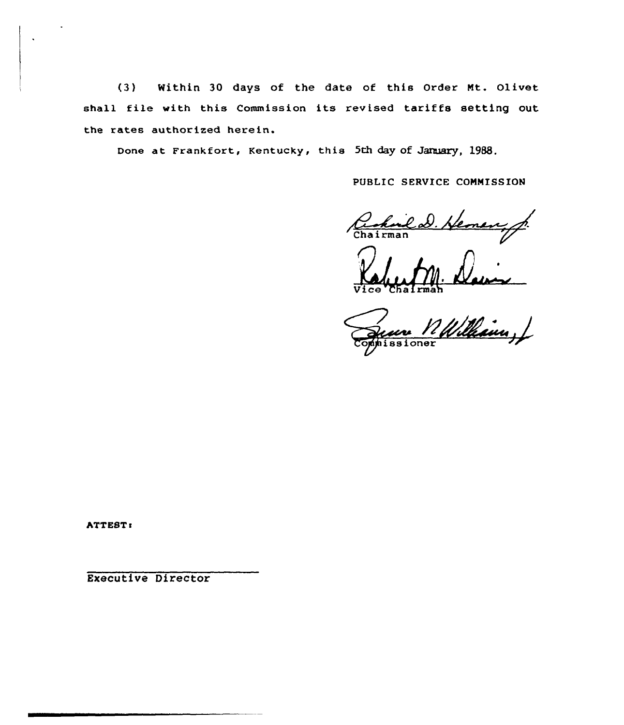(3) Within 30 days of the date of this Order Mt. Olivet shall file with this Commission its revised tariffs setting out the rates authorized herein.

Done at Frankfort, Kentucky, this 5th day of January, 1988.

PUBLIC SERVICE CONNISSION

Rohald Hemen, f.

Vice Chalrma

Commissione

ATTEST:

Executive Director